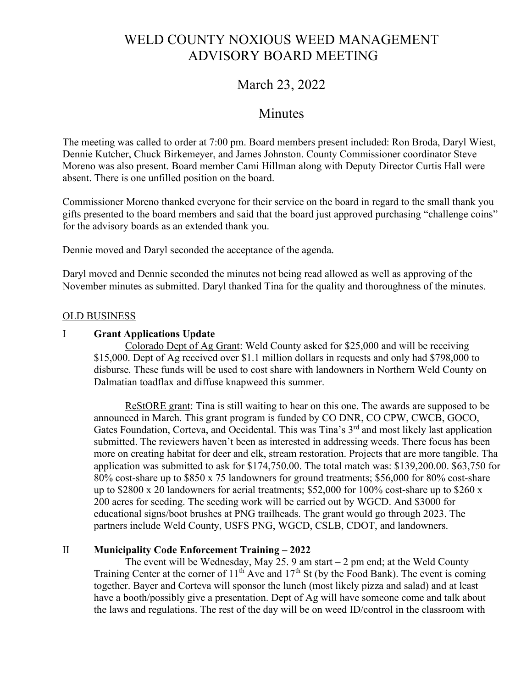# WELD COUNTY NOXIOUS WEED MANAGEMENT ADVISORY BOARD MEETING

## March 23, 2022

## Minutes

The meeting was called to order at 7:00 pm. Board members present included: Ron Broda, Daryl Wiest, Dennie Kutcher, Chuck Birkemeyer, and James Johnston. County Commissioner coordinator Steve Moreno was also present. Board member Cami Hillman along with Deputy Director Curtis Hall were absent. There is one unfilled position on the board.

Commissioner Moreno thanked everyone for their service on the board in regard to the small thank you gifts presented to the board members and said that the board just approved purchasing "challenge coins" for the advisory boards as an extended thank you.

Dennie moved and Daryl seconded the acceptance of the agenda.

Daryl moved and Dennie seconded the minutes not being read allowed as well as approving of the November minutes as submitted. Daryl thanked Tina for the quality and thoroughness of the minutes.

#### OLD BUSINESS

### I **Grant Applications Update**

Colorado Dept of Ag Grant: Weld County asked for \$25,000 and will be receiving \$15,000. Dept of Ag received over \$1.1 million dollars in requests and only had \$798,000 to disburse. These funds will be used to cost share with landowners in Northern Weld County on Dalmatian toadflax and diffuse knapweed this summer.

ReStORE grant: Tina is still waiting to hear on this one. The awards are supposed to be announced in March. This grant program is funded by CO DNR, CO CPW, CWCB, GOCO, Gates Foundation, Corteva, and Occidental. This was Tina's 3<sup>rd</sup> and most likely last application submitted. The reviewers haven't been as interested in addressing weeds. There focus has been more on creating habitat for deer and elk, stream restoration. Projects that are more tangible. Tha application was submitted to ask for \$174,750.00. The total match was: \$139,200.00. \$63,750 for 80% cost-share up to \$850 x 75 landowners for ground treatments; \$56,000 for 80% cost-share up to \$2800 x 20 landowners for aerial treatments; \$52,000 for 100% cost-share up to \$260 x 200 acres for seeding. The seeding work will be carried out by WGCD. And \$3000 for educational signs/boot brushes at PNG trailheads. The grant would go through 2023. The partners include Weld County, USFS PNG, WGCD, CSLB, CDOT, and landowners.

### II **Municipality Code Enforcement Training – 2022**

The event will be Wednesday, May 25. 9 am start  $-2$  pm end; at the Weld County Training Center at the corner of  $11<sup>th</sup>$  Ave and  $17<sup>th</sup>$  St (by the Food Bank). The event is coming together. Bayer and Corteva will sponsor the lunch (most likely pizza and salad) and at least have a booth/possibly give a presentation. Dept of Ag will have someone come and talk about the laws and regulations. The rest of the day will be on weed ID/control in the classroom with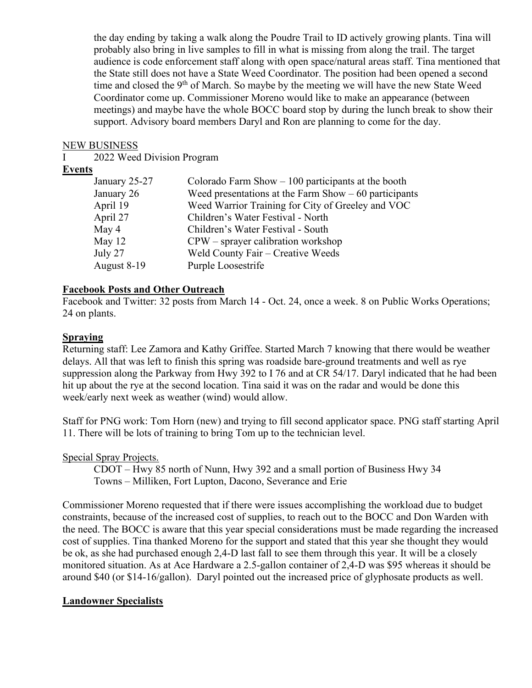the day ending by taking a walk along the Poudre Trail to ID actively growing plants. Tina will probably also bring in live samples to fill in what is missing from along the trail. The target audience is code enforcement staff along with open space/natural areas staff. Tina mentioned that the State still does not have a State Weed Coordinator. The position had been opened a second time and closed the  $9<sup>th</sup>$  of March. So maybe by the meeting we will have the new State Weed Coordinator come up. Commissioner Moreno would like to make an appearance (between meetings) and maybe have the whole BOCC board stop by during the lunch break to show their support. Advisory board members Daryl and Ron are planning to come for the day.

#### NEW BUSINESS

I 2022 Weed Division Program

## **Events**

| January 25-27 | Colorado Farm Show $-100$ participants at the booth     |
|---------------|---------------------------------------------------------|
| January 26    | Weed presentations at the Farm $Show - 60$ participants |
| April 19      | Weed Warrior Training for City of Greeley and VOC       |
| April 27      | Children's Water Festival - North                       |
| May 4         | Children's Water Festival - South                       |
| May 12        | $CPW$ – sprayer calibration workshop                    |
| July 27       | Weld County Fair – Creative Weeds                       |
| August 8-19   | Purple Loosestrife                                      |

## **Facebook Posts and Other Outreach**

Facebook and Twitter: 32 posts from March 14 - Oct. 24, once a week. 8 on Public Works Operations; 24 on plants.

### **Spraying**

Returning staff: Lee Zamora and Kathy Griffee. Started March 7 knowing that there would be weather delays. All that was left to finish this spring was roadside bare-ground treatments and well as rye suppression along the Parkway from Hwy 392 to I 76 and at CR 54/17. Daryl indicated that he had been hit up about the rye at the second location. Tina said it was on the radar and would be done this week/early next week as weather (wind) would allow.

Staff for PNG work: Tom Horn (new) and trying to fill second applicator space. PNG staff starting April 11. There will be lots of training to bring Tom up to the technician level.

Special Spray Projects.

CDOT – Hwy 85 north of Nunn, Hwy 392 and a small portion of Business Hwy 34 Towns – Milliken, Fort Lupton, Dacono, Severance and Erie

Commissioner Moreno requested that if there were issues accomplishing the workload due to budget constraints, because of the increased cost of supplies, to reach out to the BOCC and Don Warden with the need. The BOCC is aware that this year special considerations must be made regarding the increased cost of supplies. Tina thanked Moreno for the support and stated that this year she thought they would be ok, as she had purchased enough 2,4-D last fall to see them through this year. It will be a closely monitored situation. As at Ace Hardware a 2.5-gallon container of 2,4-D was \$95 whereas it should be around \$40 (or \$14-16/gallon). Daryl pointed out the increased price of glyphosate products as well.

## **Landowner Specialists**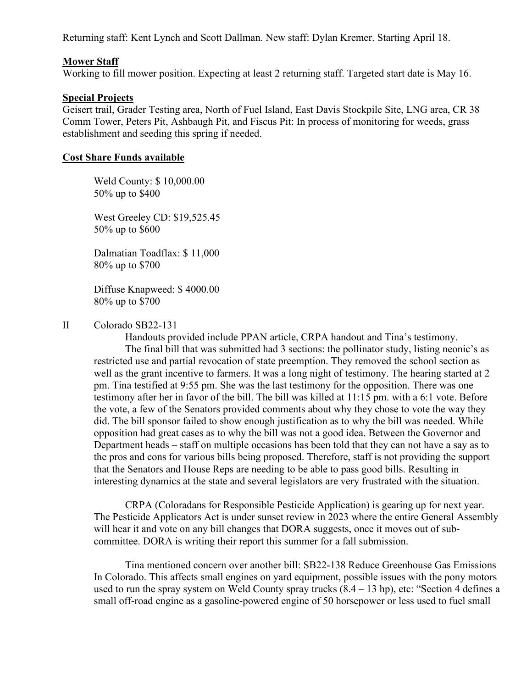Returning staff: Kent Lynch and Scott Dallman. New staff: Dylan Kremer. Starting April 18.

#### **Mower Staff**

Working to fill mower position. Expecting at least 2 returning staff. Targeted start date is May 16.

#### **Special Projects**

Geisert trail, Grader Testing area, North of Fuel Island, East Davis Stockpile Site, LNG area, CR 38 Comm Tower, Peters Pit, Ashbaugh Pit, and Fiscus Pit: In process of monitoring for weeds, grass establishment and seeding this spring if needed.

#### **Cost Share Funds available**

Weld County: \$ 10,000.00 50% up to \$400

West Greeley CD: \$19,525.45 50% up to \$600

Dalmatian Toadflax: \$ 11,000 80% up to \$700

Diffuse Knapweed: \$ 4000.00 80% up to \$700

II Colorado SB22-131

Handouts provided include PPAN article, CRPA handout and Tina's testimony. The final bill that was submitted had 3 sections: the pollinator study, listing neonic's as restricted use and partial revocation of state preemption. They removed the school section as well as the grant incentive to farmers. It was a long night of testimony. The hearing started at 2 pm. Tina testified at 9:55 pm. She was the last testimony for the opposition. There was one testimony after her in favor of the bill. The bill was killed at 11:15 pm. with a 6:1 vote. Before the vote, a few of the Senators provided comments about why they chose to vote the way they did. The bill sponsor failed to show enough justification as to why the bill was needed. While opposition had great cases as to why the bill was not a good idea. Between the Governor and Department heads – staff on multiple occasions has been told that they can not have a say as to the pros and cons for various bills being proposed. Therefore, staff is not providing the support that the Senators and House Reps are needing to be able to pass good bills. Resulting in interesting dynamics at the state and several legislators are very frustrated with the situation.

CRPA (Coloradans for Responsible Pesticide Application) is gearing up for next year. The Pesticide Applicators Act is under sunset review in 2023 where the entire General Assembly will hear it and vote on any bill changes that DORA suggests, once it moves out of subcommittee. DORA is writing their report this summer for a fall submission.

Tina mentioned concern over another bill: SB22-138 Reduce Greenhouse Gas Emissions In Colorado. This affects small engines on yard equipment, possible issues with the pony motors used to run the spray system on Weld County spray trucks (8.4 – 13 hp), etc: "Section 4 defines a small off-road engine as a gasoline-powered engine of 50 horsepower or less used to fuel small